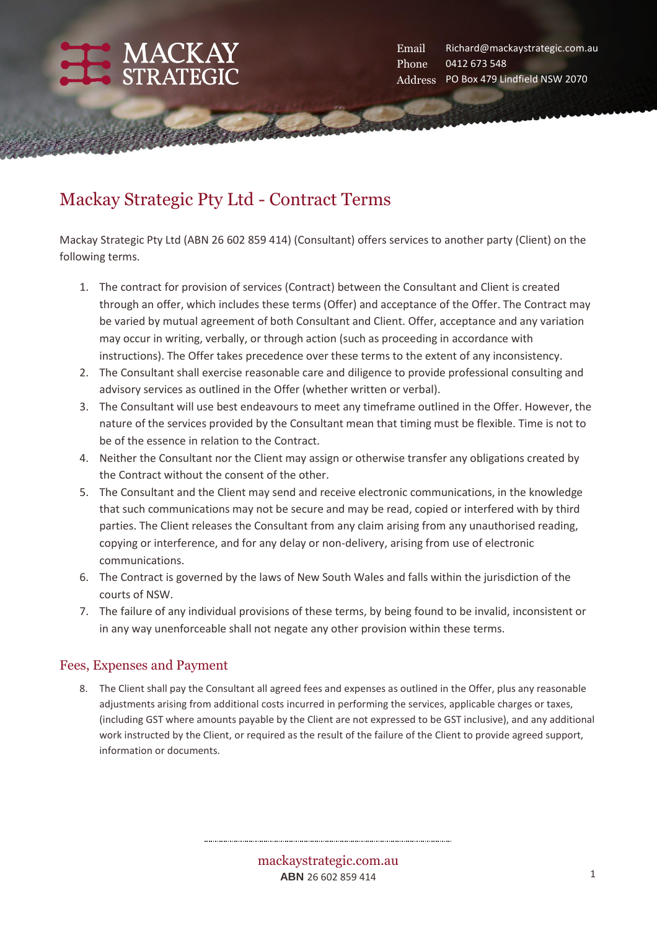

# Mackay Strategic Pty Ltd - Contract Terms

Mackay Strategic Pty Ltd (ABN 26 602 859 414) (Consultant) offers services to another party (Client) on the following terms.

- 1. The contract for provision of services (Contract) between the Consultant and Client is created through an offer, which includes these terms (Offer) and acceptance of the Offer. The Contract may be varied by mutual agreement of both Consultant and Client. Offer, acceptance and any variation may occur in writing, verbally, or through action (such as proceeding in accordance with instructions). The Offer takes precedence over these terms to the extent of any inconsistency.
- 2. The Consultant shall exercise reasonable care and diligence to provide professional consulting and advisory services as outlined in the Offer (whether written or verbal).
- 3. The Consultant will use best endeavours to meet any timeframe outlined in the Offer. However, the nature of the services provided by the Consultant mean that timing must be flexible. Time is not to be of the essence in relation to the Contract.
- 4. Neither the Consultant nor the Client may assign or otherwise transfer any obligations created by the Contract without the consent of the other.
- 5. The Consultant and the Client may send and receive electronic communications, in the knowledge that such communications may not be secure and may be read, copied or interfered with by third parties. The Client releases the Consultant from any claim arising from any unauthorised reading, copying or interference, and for any delay or non-delivery, arising from use of electronic communications.
- 6. The Contract is governed by the laws of New South Wales and falls within the jurisdiction of the courts of NSW.
- 7. The failure of any individual provisions of these terms, by being found to be invalid, inconsistent or in any way unenforceable shall not negate any other provision within these terms.

#### Fees, Expenses and Payment

8. The Client shall pay the Consultant all agreed fees and expenses as outlined in the Offer, plus any reasonable adjustments arising from additional costs incurred in performing the services, applicable charges or taxes, (including GST where amounts payable by the Client are not expressed to be GST inclusive), and any additional work instructed by the Client, or required as the result of the failure of the Client to provide agreed support, information or documents.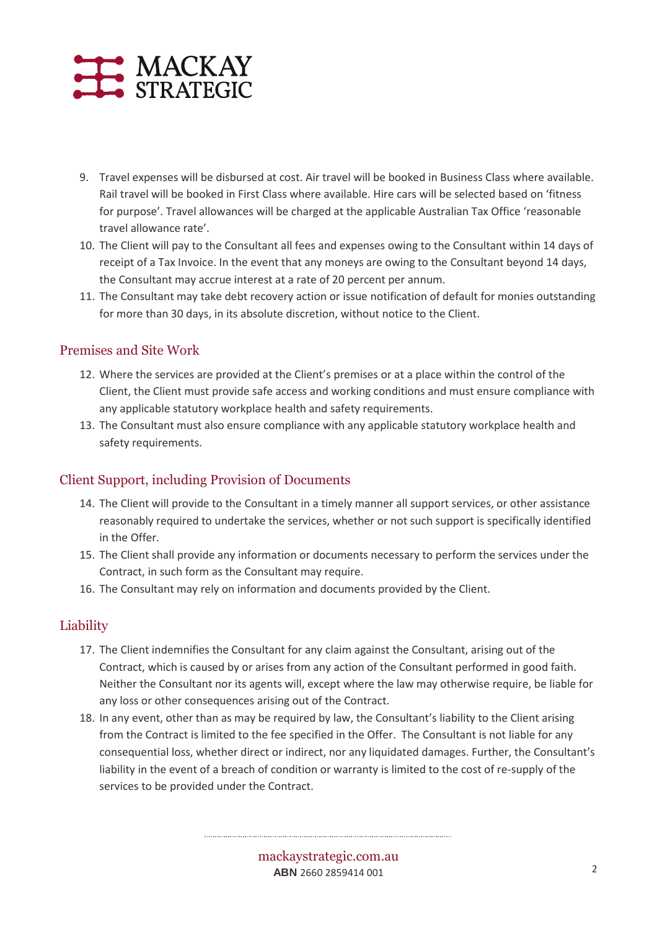# MACKAY STRATEGIC

- 9. Travel expenses will be disbursed at cost. Air travel will be booked in Business Class where available. Rail travel will be booked in First Class where available. Hire cars will be selected based on 'fitness for purpose'. Travel allowances will be charged at the applicable Australian Tax Office 'reasonable travel allowance rate'.
- 10. The Client will pay to the Consultant all fees and expenses owing to the Consultant within 14 days of receipt of a Tax Invoice. In the event that any moneys are owing to the Consultant beyond 14 days, the Consultant may accrue interest at a rate of 20 percent per annum.
- 11. The Consultant may take debt recovery action or issue notification of default for monies outstanding for more than 30 days, in its absolute discretion, without notice to the Client.

#### Premises and Site Work

- 12. Where the services are provided at the Client's premises or at a place within the control of the Client, the Client must provide safe access and working conditions and must ensure compliance with any applicable statutory workplace health and safety requirements.
- 13. The Consultant must also ensure compliance with any applicable statutory workplace health and safety requirements.

#### Client Support, including Provision of Documents

- 14. The Client will provide to the Consultant in a timely manner all support services, or other assistance reasonably required to undertake the services, whether or not such support is specifically identified in the Offer.
- 15. The Client shall provide any information or documents necessary to perform the services under the Contract, in such form as the Consultant may require.
- 16. The Consultant may rely on information and documents provided by the Client.

#### Liability

- 17. The Client indemnifies the Consultant for any claim against the Consultant, arising out of the Contract, which is caused by or arises from any action of the Consultant performed in good faith. Neither the Consultant nor its agents will, except where the law may otherwise require, be liable for any loss or other consequences arising out of the Contract.
- 18. In any event, other than as may be required by law, the Consultant's liability to the Client arising from the Contract is limited to the fee specified in the Offer. The Consultant is not liable for any consequential loss, whether direct or indirect, nor any liquidated damages. Further, the Consultant's liability in the event of a breach of condition or warranty is limited to the cost of re-supply of the services to be provided under the Contract.

mackaystrategic.com.au **ABN** 2660 2859414 001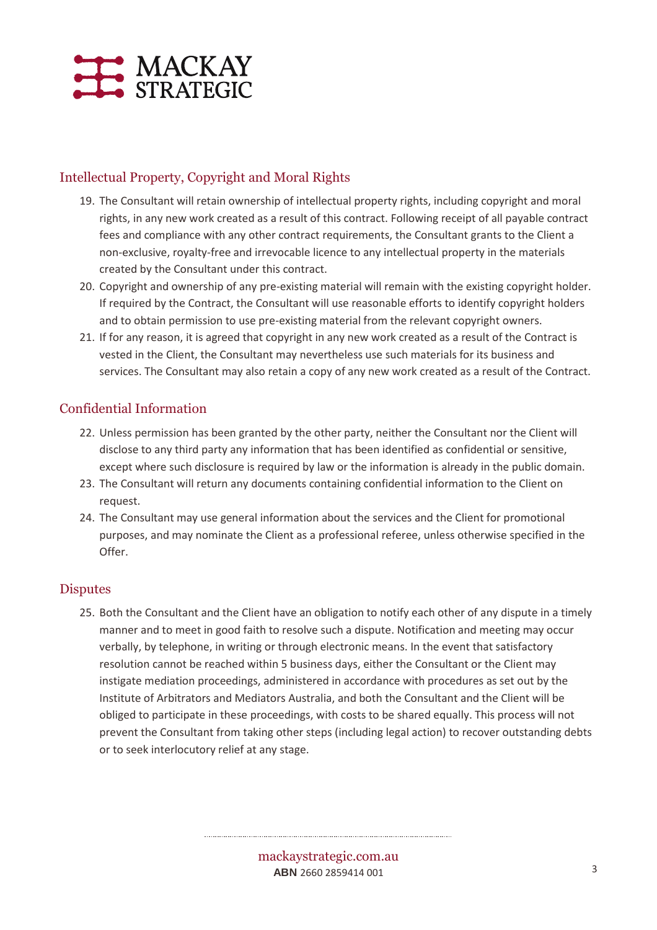

## Intellectual Property, Copyright and Moral Rights

- 19. The Consultant will retain ownership of intellectual property rights, including copyright and moral rights, in any new work created as a result of this contract. Following receipt of all payable contract fees and compliance with any other contract requirements, the Consultant grants to the Client a non-exclusive, royalty-free and irrevocable licence to any intellectual property in the materials created by the Consultant under this contract.
- 20. Copyright and ownership of any pre-existing material will remain with the existing copyright holder. If required by the Contract, the Consultant will use reasonable efforts to identify copyright holders and to obtain permission to use pre-existing material from the relevant copyright owners.
- 21. If for any reason, it is agreed that copyright in any new work created as a result of the Contract is vested in the Client, the Consultant may nevertheless use such materials for its business and services. The Consultant may also retain a copy of any new work created as a result of the Contract.

### Confidential Information

- 22. Unless permission has been granted by the other party, neither the Consultant nor the Client will disclose to any third party any information that has been identified as confidential or sensitive, except where such disclosure is required by law or the information is already in the public domain.
- 23. The Consultant will return any documents containing confidential information to the Client on request.
- 24. The Consultant may use general information about the services and the Client for promotional purposes, and may nominate the Client as a professional referee, unless otherwise specified in the Offer.

#### **Disputes**

25. Both the Consultant and the Client have an obligation to notify each other of any dispute in a timely manner and to meet in good faith to resolve such a dispute. Notification and meeting may occur verbally, by telephone, in writing or through electronic means. In the event that satisfactory resolution cannot be reached within 5 business days, either the Consultant or the Client may instigate mediation proceedings, administered in accordance with procedures as set out by the Institute of Arbitrators and Mediators Australia, and both the Consultant and the Client will be obliged to participate in these proceedings, with costs to be shared equally. This process will not prevent the Consultant from taking other steps (including legal action) to recover outstanding debts or to seek interlocutory relief at any stage.

> mackaystrategic.com.au **ABN** 2660 2859414 001